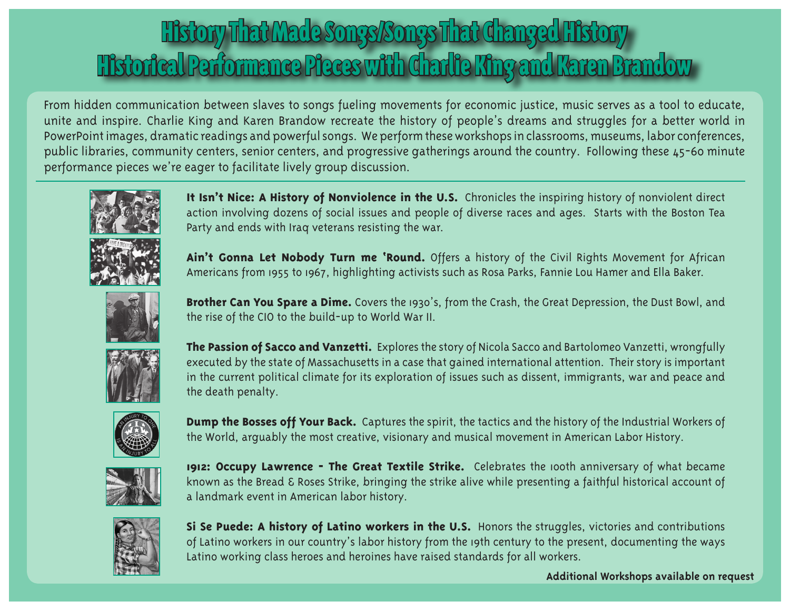## History That Made Songs/Songs That Changed History Historical Performance Pieces with Charlie King and Karen Brandow

From hidden communication between slaves to songs fueling movements for economic justice, music serves as a tool to educate, unite and inspire. Charlie King and Karen Brandow recreate the history of people's dreams and struggles for a better world in PowerPoint images, dramatic readings and powerful songs. We perform these workshops in classrooms, museums, labor conferences, public libraries, community centers, senior centers, and progressive gatherings around the country. Following these 45-60 minute performance pieces we're eager to facilitate lively group discussion.



**It Isn't Nice: A History of Nonviolence in the U.S.** Chronicles the inspiring history of nonviolent direct action involving dozens of social issues and people of diverse races and ages. Starts with the Boston Tea Party and ends with Iraq veterans resisting the war.



**Ain't Gonna Let Nobody Turn me 'Round.** Offers a history of the Civil Rights Movement for African Americans from 1955 to 1967, highlighting activists such as Rosa Parks, Fannie Lou Hamer and Ella Baker.



**Brother Can You Spare a Dime.** Covers the 1930's, from the Crash, the Great Depression, the Dust Bowl, and the rise of the CIO to the build-up to World War II.



**The Passion of Sacco and Vanzetti.** Explores the story of Nicola Sacco and Bartolomeo Vanzetti, wrongfully executed by the state of Massachusetts in a case that gained international attention. Their story is important in the current political climate for its exploration of issues such as dissent, immigrants, war and peace and the death penalty.



**Dump the Bosses off Your Back.** Captures the spirit, the tactics and the history of the Industrial Workers of the World, arguably the most creative, visionary and musical movement in American Labor History.



1912: Occupy Lawrence - The Great Textile Strike. Celebrates the 100th anniversary of what became known as the Bread & Roses Strike, bringing the strike alive while presenting a faithful historical account of a landmark event in American labor history.



**Si Se Puede: A history of Latino workers in the U.S.** Honors the struggles, victories and contributions of Latino workers in our country's labor history from the 19th century to the present, documenting the ways Latino working class heroes and heroines have raised standards for all workers.